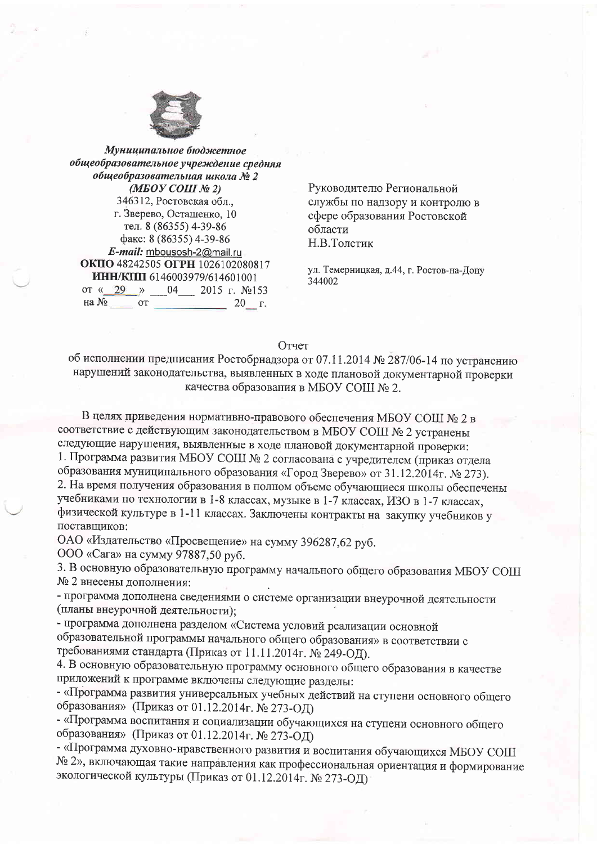

Муниципальное бюджетное общеобразовательное учреждение средняя общеобразовательная школа № 2  $(MEOY COIII \r M 2)$ 346312, Ростовская обл., г. Зверево, Осташенко, 10 тел. 8 (86355) 4-39-86 факс: 8 (86355) 4-39-86 E-mail: mbousosh-2@mail.ru ОКПО 48242505 ОГРН 1026102080817 ИНН/КПП 6146003979/614601001 от «29 » 04 2015 г. №153  $20 \, \text{r.}$ 

Руководителю Региональной службы по надзору и контролю в сфере образования Ростовской области Н.В.Толстик

ул. Темерницкая, д.44, г. Ростов-на-Дону 344002

## Отчет

об исполнении предписания Ростобрнадзора от 07.11.2014 № 287/06-14 по устранению нарушений законодательства, выявленных в ходе плановой документарной проверки качества образования в МБОУ СОШ № 2.

В целях приведения нормативно-правового обеспечения МБОУ СОШ № 2 в соответствие с действующим законодательством в МБОУ СОШ № 2 устранены следующие нарушения, выявленные в ходе плановой документарной проверки: 1. Программа развития МБОУ СОШ № 2 согласована с учредителем (приказ отдела образования муниципального образования «Город Зверево» от 31.12.2014г. № 273). 2. На время получения образования в полном объеме обучающиеся школы обеспечены учебниками по технологии в 1-8 классах, музыке в 1-7 классах, ИЗО в 1-7 классах, физической культуре в 1-11 классах. Заключены контракты на закупку учебников у поставщиков:

ОАО «Издательство «Просвещение» на сумму 396287,62 руб.

ООО «Сага» на сумму 97887,50 руб.

3. В основную образовательную программу начального общего образования МБОУ СОШ № 2 внесены дополнения:

- программа дополнена сведениями о системе организации внеурочной деятельности (планы внеурочной деятельности);

- программа дополнена разделом «Система условий реализации основной образовательной программы начального общего образования» в соответствии с требованиями стандарта (Приказ от 11.11.2014г. № 249-ОД).

4. В основную образовательную программу основного общего образования в качестве приложений к программе включены следующие разделы:

- «Программа развития универсальных учебных действий на ступени основного общего образования» (Приказ от 01.12.2014г. № 273-ОД)

- «Программа воспитания и социализации обучающихся на ступени основного общего образования» (Приказ от 01.12.2014г. № 273-ОД)

- «Программа духовно-нравственного развития и воспитания обучающихся МБОУ СОШ № 2», включающая такие направления как профессиональная ориентация и формирование экологической культуры (Приказ от 01.12.2014г. № 273-ОД)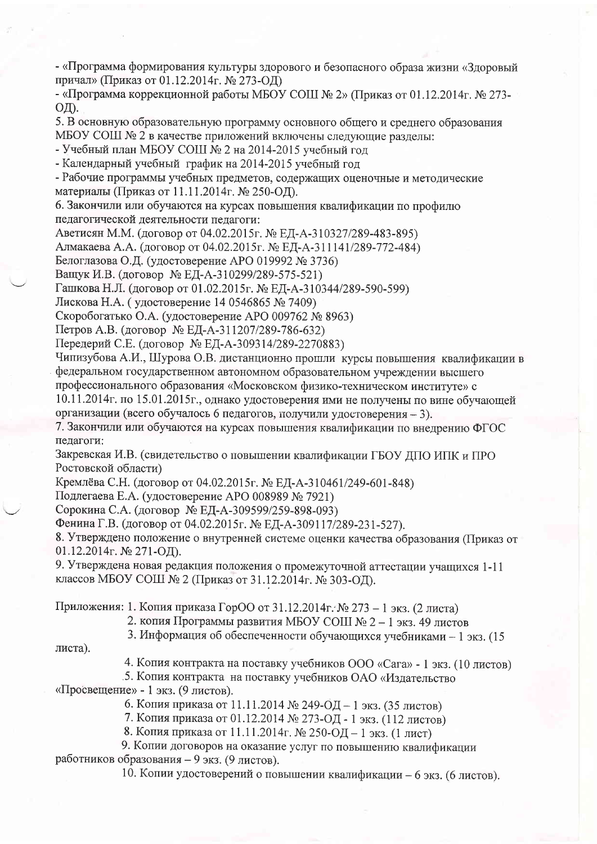- «Программа формирования культуры здорового и безопасного образа жизни «Здоровый причал» (Приказ от 01.12.2014г. № 273-ОД)

- «Программа коррекционной работы МБОУ СОШ № 2» (Приказ от 01.12.2014г. № 273-ОД).

5. В основную образовательную программу основного общего и среднего образования МБОУ СОШ № 2 в качестве приложений включены следующие разделы:

- Учебный план МБОУ СОШ № 2 на 2014-2015 учебный год

- Календарный учебный график на 2014-2015 учебный год

- Рабочие программы учебных предметов, содержащих оценочные и методические материалы (Приказ от 11.11.2014г. № 250-ОД).

6. Закончили или обучаются на курсах повышения квалификации по профилю педагогической деятельности педагоги:

Аветисян М.М. (договор от 04.02.2015г. № ЕД-А-310327/289-483-895)

Алмакаева А.А. (договор от 04.02.2015 г. № ЕД-А-311141/289-772-484)

Белоглазова О.Д. (удостоверение АРО 019992 № 3736)

Ващук И.В. (договор № ЕД-А-310299/289-575-521)

Гашкова Н.Л. (договор от 01.02.2015г. № ЕД-А-310344/289-590-599)

Лискова Н.А. (удостоверение 14 0546865 № 7409)

Скоробогатько О.А. (удостоверение АРО 009762 № 8963)

Петров А.В. (договор № ЕД-А-311207/289-786-632)

Передерий С.Е. (договор № ЕД-А-309314/289-2270883)

Чипизубова А.И., Шурова О.В. дистанционно прошли курсы повышения квалификации в федеральном государственном автономном образовательном учреждении высшего профессионального образования «Московском физико-техническом институте» с

10.11.2014г. по 15.01.2015г., однако удостоверения ими не получены по вине обучающей организации (всего обучалось 6 педагогов, получили удостоверения - 3).

7. Закончили или обучаются на курсах повышения квалификации по внедрению ФГОС педагоги:

Закревская И.В. (свидетельство о повышении квалификации ГБОУ ДПО ИПК и ПРО Ростовской области)

Кремлёва С.Н. (договор от 04.02.2015г. № ЕД-А-310461/249-601-848)

Подлегаева Е.А. (удостоверение АРО 008989 № 7921)

Сорокина С.А. (договор № ЕД-А-309599/259-898-093)

Фенина Г.В. (договор от 04.02.2015г. № ЕД-А-309117/289-231-527).

8. Утверждено положение о внутренней системе оценки качества образования (Приказ от 01.12.2014г. № 271-ОД).

9. Утверждена новая редакция положения о промежуточной аттестации учащихся 1-11 классов МБОУ СОШ № 2 (Приказ от 31.12.2014г. № 303-ОД).

Приложения: 1. Копия приказа ГорОО от 31.12.2014г. № 273 – 1 экз. (2 листа)

2. копия Программы развития МБОУ СОШ № 2 - 1 экз. 49 листов

3. Информация об обеспеченности обучающихся учебниками - 1 экз. (15

листа).

4. Копия контракта на поставку учебников ООО «Сага» - 1 экз. (10 листов)

5. Копия контракта на поставку учебников ОАО «Излательство «Просвещение» - 1 экз. (9 листов).

6. Копия приказа от 11.11.2014 № 249-ОД - 1 экз. (35 листов)

7. Копия приказа от 01.12.2014 № 273-ОД - 1 экз. (112 листов)

8. Копия приказа от 11.11.2014г. № 250-ОД - 1 экз. (1 лист)

9. Копии договоров на оказание услуг по повышению квалификации работников образования - 9 экз. (9 листов).

10. Копии удостоверений о повышении квалификации - 6 экз. (6 листов).